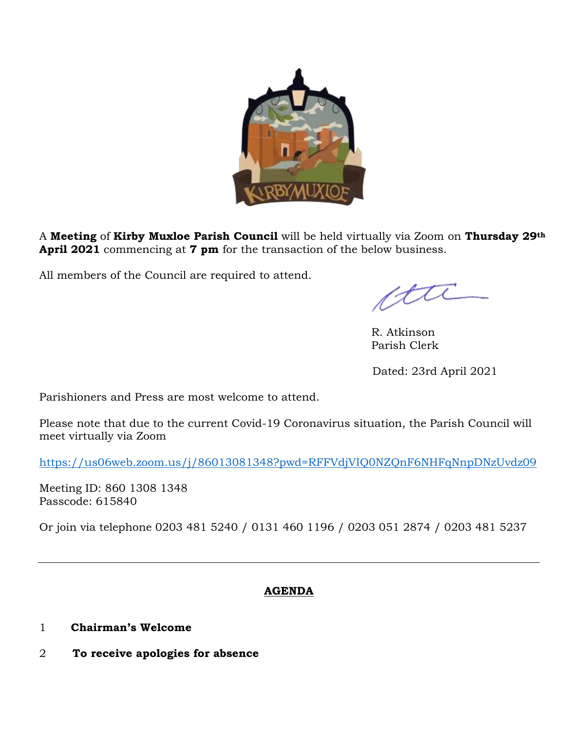

A **Meeting** of **Kirby Muxloe Parish Council** will be held virtually via Zoom on **Thursday 29th April 2021** commencing at **7 pm** for the transaction of the below business.

All members of the Council are required to attend.

ctte

 R. Atkinson Parish Clerk

Dated: 23rd April 2021

Parishioners and Press are most welcome to attend.

Please note that due to the current Covid-19 Coronavirus situation, the Parish Council will meet virtually via Zoom

<https://us06web.zoom.us/j/86013081348?pwd=RFFVdjVIQ0NZQnF6NHFqNnpDNzUvdz09>

Meeting ID: 860 1308 1348 Passcode: 615840

Or join via telephone 0203 481 5240 / 0131 460 1196 / 0203 051 2874 / 0203 481 5237

## **AGENDA**

- 1 **Chairman's Welcome**
- 2 **To receive apologies for absence**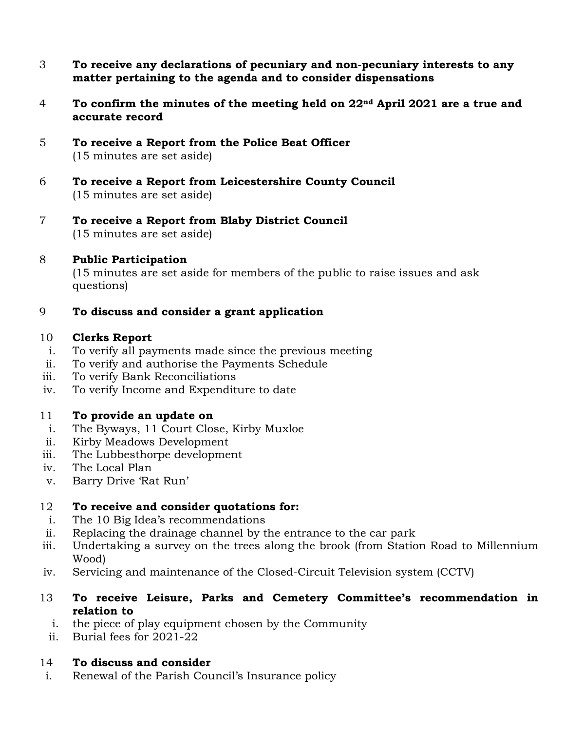- 3 **To receive any declarations of pecuniary and non-pecuniary interests to any matter pertaining to the agenda and to consider dispensations**
- 4 **To confirm the minutes of the meeting held on 22nd April 2021 are a true and accurate record**
- 5 **To receive a Report from the Police Beat Officer** (15 minutes are set aside)
- 6 **To receive a Report from Leicestershire County Council** (15 minutes are set aside)
- 7 **To receive a Report from Blaby District Council** (15 minutes are set aside)

## 8 **Public Participation**

(15 minutes are set aside for members of the public to raise issues and ask questions)

# 9 **To discuss and consider a grant application**

#### 10 **Clerks Report**

- i. To verify all payments made since the previous meeting
- ii. To verify and authorise the Payments Schedule
- iii. To verify Bank Reconciliations
- iv. To verify Income and Expenditure to date

## 11 **To provide an update on**

- i. The Byways, 11 Court Close, Kirby Muxloe
- ii. Kirby Meadows Development
- iii. The Lubbesthorpe development
- iv. The Local Plan
- v. Barry Drive 'Rat Run'

## 12 **To receive and consider quotations for:**

- i. The 10 Big Idea's recommendations
- ii. Replacing the drainage channel by the entrance to the car park
- iii. Undertaking a survey on the trees along the brook (from Station Road to Millennium Wood)
- iv. Servicing and maintenance of the Closed-Circuit Television system (CCTV)
- 13 **To receive Leisure, Parks and Cemetery Committee's recommendation in relation to**
	- i. the piece of play equipment chosen by the Community
	- ii. Burial fees for 2021-22

## 14 **To discuss and consider**

i. Renewal of the Parish Council's Insurance policy